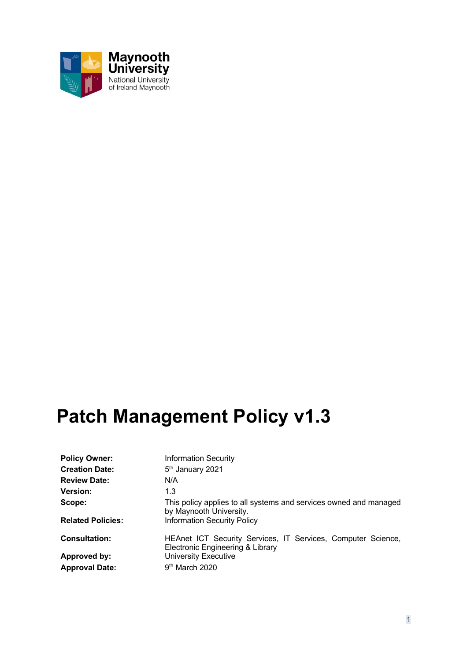

# **Patch Management Policy v1.3**

| <b>Policy Owner:</b>     | <b>Information Security</b>                                                                      |
|--------------------------|--------------------------------------------------------------------------------------------------|
| <b>Creation Date:</b>    | 5 <sup>th</sup> January 2021                                                                     |
| <b>Review Date:</b>      | N/A                                                                                              |
| <b>Version:</b>          | 1.3                                                                                              |
| Scope:                   | This policy applies to all systems and services owned and managed<br>by Maynooth University.     |
| <b>Related Policies:</b> | <b>Information Security Policy</b>                                                               |
| <b>Consultation:</b>     | HEAnet ICT Security Services, IT Services, Computer Science,<br>Electronic Engineering & Library |
| Approved by:             | <b>University Executive</b>                                                                      |
| <b>Approval Date:</b>    | 9 <sup>th</sup> March 2020                                                                       |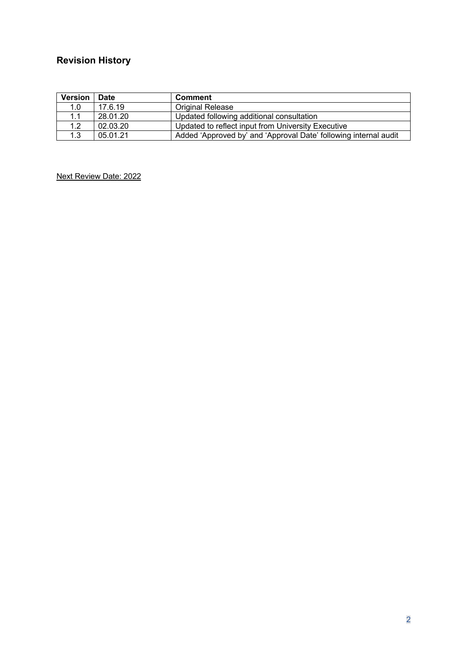# **Revision History**

| <b>Version</b> | <b>Date</b> | <b>Comment</b>                                                   |
|----------------|-------------|------------------------------------------------------------------|
| 1.0            | 17.6.19     | Original Release                                                 |
| 1.1            | 28.01.20    | Updated following additional consultation                        |
| 1.2            | 02.03.20    | Updated to reflect input from University Executive               |
| 1.3            | 05.01.21    | Added 'Approved by' and 'Approval Date' following internal audit |

Next Review Date: 2022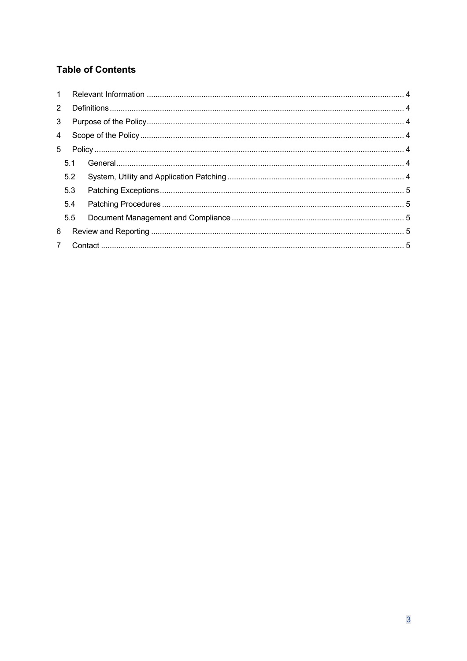# **Table of Contents**

| 2              |     |  |  |
|----------------|-----|--|--|
| 3 <sup>7</sup> |     |  |  |
|                |     |  |  |
|                |     |  |  |
|                | 5.1 |  |  |
|                | 5.2 |  |  |
|                | 5.3 |  |  |
|                | 5.4 |  |  |
|                | 5.5 |  |  |
| 6              |     |  |  |
|                |     |  |  |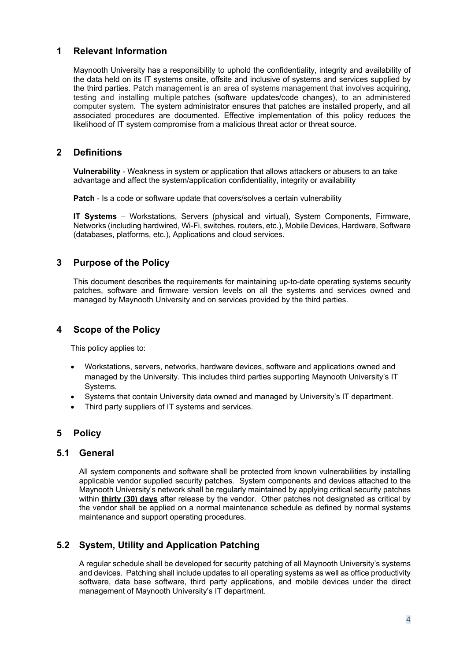# **1 Relevant Information**

Maynooth University has a responsibility to uphold the confidentiality, integrity and availability of the data held on its IT systems onsite, offsite and inclusive of systems and services supplied by the third parties. Patch management is an area of systems management that involves acquiring, testing and installing multiple patches (software updates/code changes), to an administered computer system. The system administrator ensures that patches are installed properly, and all associated procedures are documented. Effective implementation of this policy reduces the likelihood of IT system compromise from a malicious threat actor or threat source.

#### **2 Definitions**

**Vulnerability** - Weakness in system or application that allows attackers or abusers to an take advantage and affect the system/application confidentiality, integrity or availability

**Patch** - Is a code or software update that covers/solves a certain vulnerability

**IT Systems** – Workstations, Servers (physical and virtual), System Components, Firmware, Networks (including hardwired, Wi-Fi, switches, routers, etc.), Mobile Devices, Hardware, Software (databases, platforms, etc.), Applications and cloud services.

#### **3 Purpose of the Policy**

This document describes the requirements for maintaining up-to-date operating systems security patches, software and firmware version levels on all the systems and services owned and managed by Maynooth University and on services provided by the third parties.

# **4 Scope of the Policy**

This policy applies to:

- Workstations, servers, networks, hardware devices, software and applications owned and managed by the University. This includes third parties supporting Maynooth University's IT Systems.
- Systems that contain University data owned and managed by University's IT department.
- Third party suppliers of IT systems and services.

# **5 Policy**

#### **5.1 General**

All system components and software shall be protected from known vulnerabilities by installing applicable vendor supplied security patches. System components and devices attached to the Maynooth University's network shall be regularly maintained by applying critical security patches within **thirty (30) days** after release by the vendor. Other patches not designated as critical by the vendor shall be applied on a normal maintenance schedule as defined by normal systems maintenance and support operating procedures.

# **5.2 System, Utility and Application Patching**

A regular schedule shall be developed for security patching of all Maynooth University's systems and devices. Patching shall include updates to all operating systems as well as office productivity software, data base software, third party applications, and mobile devices under the direct management of Maynooth University's IT department.